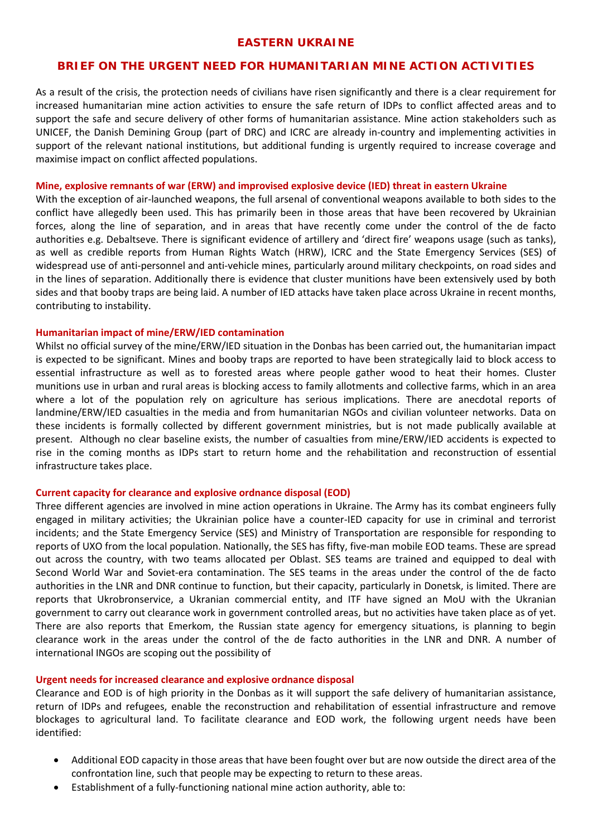### **EASTERN UKRAINE**

### **BRIEF ON THE URGENT NEED FOR HUMANITARIAN MINE ACTION ACTIVITIES**

As a result of the crisis, the protection needs of civilians have risen significantly and there is a clear requirement for increased humanitarian mine action activities to ensure the safe return of IDPs to conflict affected areas and to support the safe and secure delivery of other forms of humanitarian assistance. Mine action stakeholders such as UNICEF, the Danish Demining Group (part of DRC) and ICRC are already in-country and implementing activities in support of the relevant national institutions, but additional funding is urgently required to increase coverage and maximise impact on conflict affected populations.

#### **Mine, explosive remnants of war (ERW) and improvised explosive device (IED) threat in eastern Ukraine**

With the exception of air-launched weapons, the full arsenal of conventional weapons available to both sides to the conflict have allegedly been used. This has primarily been in those areas that have been recovered by Ukrainian forces, along the line of separation, and in areas that have recently come under the control of the de facto authorities e.g. Debaltseve. There is significant evidence of artillery and 'direct fire' weapons usage (such as tanks), as well as credible reports from Human Rights Watch (HRW), ICRC and the State Emergency Services (SES) of widespread use of anti-personnel and anti-vehicle mines, particularly around military checkpoints, on road sides and in the lines of separation. Additionally there is evidence that cluster munitions have been extensively used by both sides and that booby traps are being laid. A number of IED attacks have taken place across Ukraine in recent months, contributing to instability.

#### **Humanitarian impact of mine/ERW/IED contamination**

Whilst no official survey of the mine/ERW/IED situation in the Donbas has been carried out, the humanitarian impact is expected to be significant. Mines and booby traps are reported to have been strategically laid to block access to essential infrastructure as well as to forested areas where people gather wood to heat their homes. Cluster munitions use in urban and rural areas is blocking access to family allotments and collective farms, which in an area where a lot of the population rely on agriculture has serious implications. There are anecdotal reports of landmine/ERW/IED casualties in the media and from humanitarian NGOs and civilian volunteer networks. Data on these incidents is formally collected by different government ministries, but is not made publically available at present. Although no clear baseline exists, the number of casualties from mine/ERW/IED accidents is expected to rise in the coming months as IDPs start to return home and the rehabilitation and reconstruction of essential infrastructure takes place.

### **Current capacity for clearance and explosive ordnance disposal (EOD)**

Three different agencies are involved in mine action operations in Ukraine. The Army has its combat engineers fully engaged in military activities; the Ukrainian police have a counter-IED capacity for use in criminal and terrorist incidents; and the State Emergency Service (SES) and Ministry of Transportation are responsible for responding to reports of UXO from the local population. Nationally, the SES has fifty, five-man mobile EOD teams. These are spread out across the country, with two teams allocated per Oblast. SES teams are trained and equipped to deal with Second World War and Soviet-era contamination. The SES teams in the areas under the control of the de facto authorities in the LNR and DNR continue to function, but their capacity, particularly in Donetsk, is limited. There are reports that Ukrobronservice, a Ukranian commercial entity, and ITF have signed an MoU with the Ukranian government to carry out clearance work in government controlled areas, but no activities have taken place as of yet. There are also reports that Emerkom, the Russian state agency for emergency situations, is planning to begin clearance work in the areas under the control of the de facto authorities in the LNR and DNR. A number of international INGOs are scoping out the possibility of

### **Urgent needs for increased clearance and explosive ordnance disposal**

Clearance and EOD is of high priority in the Donbas as it will support the safe delivery of humanitarian assistance, return of IDPs and refugees, enable the reconstruction and rehabilitation of essential infrastructure and remove blockages to agricultural land. To facilitate clearance and EOD work, the following urgent needs have been identified:

- Additional EOD capacity in those areas that have been fought over but are now outside the direct area of the confrontation line, such that people may be expecting to return to these areas.
- Establishment of a fully-functioning national mine action authority, able to: